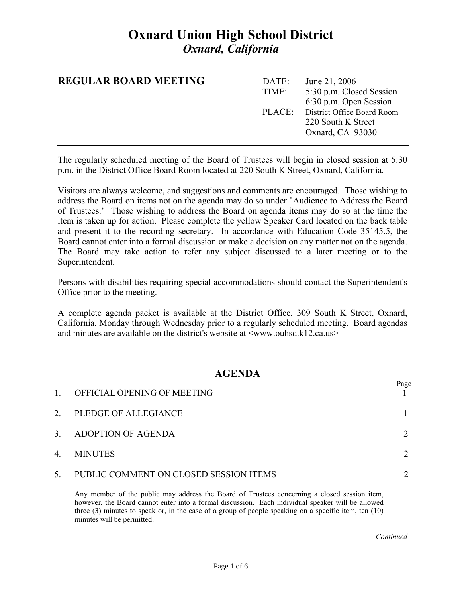### **Oxnard Union High School District**  *Oxnard, California*

| <b>REGULAR BOARD MEETING</b> | DATE:<br>TIME: | June 21, 2006<br>5:30 p.m. Closed Session<br>6:30 p.m. Open Session         |
|------------------------------|----------------|-----------------------------------------------------------------------------|
|                              |                | PLACE: District Office Board Room<br>220 South K Street<br>Oxnard, CA 93030 |

The regularly scheduled meeting of the Board of Trustees will begin in closed session at 5:30 p.m. in the District Office Board Room located at 220 South K Street, Oxnard, California.

Visitors are always welcome, and suggestions and comments are encouraged. Those wishing to address the Board on items not on the agenda may do so under "Audience to Address the Board of Trustees." Those wishing to address the Board on agenda items may do so at the time the item is taken up for action. Please complete the yellow Speaker Card located on the back table and present it to the recording secretary. In accordance with Education Code 35145.5, the Board cannot enter into a formal discussion or make a decision on any matter not on the agenda. The Board may take action to refer any subject discussed to a later meeting or to the Superintendent.

Persons with disabilities requiring special accommodations should contact the Superintendent's Office prior to the meeting.

A complete agenda packet is available at the District Office, 309 South K Street, Oxnard, California, Monday through Wednesday prior to a regularly scheduled meeting. Board agendas and minutes are available on the district's website at  $\langle$ www.ouhsd.k12.ca.us $>$ 

#### **AGENDA**

| $\mathbf{1}$ | OFFICIAL OPENING OF MEETING            | Page |
|--------------|----------------------------------------|------|
| 2.           | PLEDGE OF ALLEGIANCE                   |      |
| 3.           | ADOPTION OF AGENDA                     |      |
| 4.           | <b>MINUTES</b>                         |      |
| 5.           | PUBLIC COMMENT ON CLOSED SESSION ITEMS |      |

Any member of the public may address the Board of Trustees concerning a closed session item, however, the Board cannot enter into a formal discussion. Each individual speaker will be allowed three (3) minutes to speak or, in the case of a group of people speaking on a specific item, ten (10) minutes will be permitted.

*Continued Continued*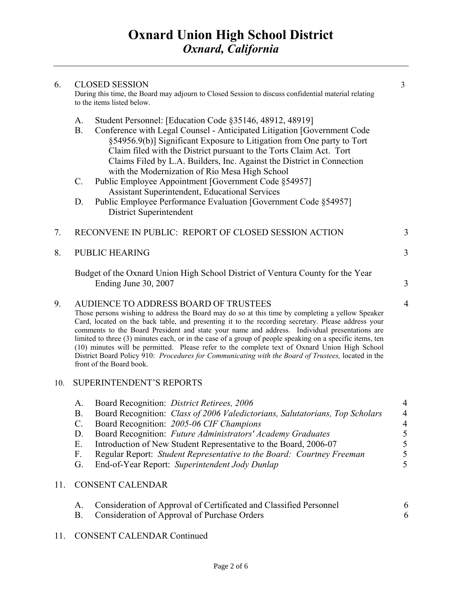| 6.                                                                                                                                | <b>CLOSED SESSION</b>                                                                                                                                                                                                                                                                                                                                                                                                                                                                                                                                                                                                                                                                           |                                                                        |  |
|-----------------------------------------------------------------------------------------------------------------------------------|-------------------------------------------------------------------------------------------------------------------------------------------------------------------------------------------------------------------------------------------------------------------------------------------------------------------------------------------------------------------------------------------------------------------------------------------------------------------------------------------------------------------------------------------------------------------------------------------------------------------------------------------------------------------------------------------------|------------------------------------------------------------------------|--|
| During this time, the Board may adjourn to Closed Session to discuss confidential material relating<br>to the items listed below. |                                                                                                                                                                                                                                                                                                                                                                                                                                                                                                                                                                                                                                                                                                 |                                                                        |  |
|                                                                                                                                   | A.<br>Student Personnel: [Education Code §35146, 48912, 48919]<br>B <sub>1</sub><br>Conference with Legal Counsel - Anticipated Litigation [Government Code<br>§54956.9(b)] Significant Exposure to Litigation from One party to Tort<br>Claim filed with the District pursuant to the Torts Claim Act. Tort<br>Claims Filed by L.A. Builders, Inc. Against the District in Connection<br>with the Modernization of Rio Mesa High School                                                                                                                                                                                                                                                        |                                                                        |  |
|                                                                                                                                   | $C$ .<br>Public Employee Appointment [Government Code §54957]<br>Assistant Superintendent, Educational Services                                                                                                                                                                                                                                                                                                                                                                                                                                                                                                                                                                                 |                                                                        |  |
|                                                                                                                                   | Public Employee Performance Evaluation [Government Code §54957]<br>D.<br>District Superintendent                                                                                                                                                                                                                                                                                                                                                                                                                                                                                                                                                                                                |                                                                        |  |
| 7.                                                                                                                                | RECONVENE IN PUBLIC: REPORT OF CLOSED SESSION ACTION                                                                                                                                                                                                                                                                                                                                                                                                                                                                                                                                                                                                                                            | 3                                                                      |  |
| 8.                                                                                                                                | PUBLIC HEARING                                                                                                                                                                                                                                                                                                                                                                                                                                                                                                                                                                                                                                                                                  | 3                                                                      |  |
|                                                                                                                                   | Budget of the Oxnard Union High School District of Ventura County for the Year<br>Ending June 30, 2007                                                                                                                                                                                                                                                                                                                                                                                                                                                                                                                                                                                          | 3                                                                      |  |
| 9.                                                                                                                                | AUDIENCE TO ADDRESS BOARD OF TRUSTEES<br>Those persons wishing to address the Board may do so at this time by completing a yellow Speaker<br>Card, located on the back table, and presenting it to the recording secretary. Please address your<br>comments to the Board President and state your name and address. Individual presentations are<br>limited to three (3) minutes each, or in the case of a group of people speaking on a specific items, ten<br>(10) minutes will be permitted. Please refer to the complete text of Oxnard Union High School<br>District Board Policy 910: Procedures for Communicating with the Board of Trustees, located in the<br>front of the Board book. |                                                                        |  |
| 10.                                                                                                                               | <b>SUPERINTENDENT'S REPORTS</b>                                                                                                                                                                                                                                                                                                                                                                                                                                                                                                                                                                                                                                                                 |                                                                        |  |
|                                                                                                                                   | Board Recognition: District Retirees, 2006<br>A.<br>Board Recognition: Class of 2006 Valedictorians, Salutatorians, Top Scholars<br><b>B.</b><br>$C$ .<br>Board Recognition: 2005-06 CIF Champions<br>Board Recognition: Future Administrators' Academy Graduates<br>D.<br>Introduction of New Student Representative to the Board, 2006-07<br>E.<br>F.<br>Regular Report: Student Representative to the Board: Courtney Freeman                                                                                                                                                                                                                                                                | 4<br>$\overline{4}$<br>$\begin{array}{c} 4 \\ 5 \\ 5 \\ 5 \end{array}$ |  |
|                                                                                                                                   | <b>PUC CONTIN</b>                                                                                                                                                                                                                                                                                                                                                                                                                                                                                                                                                                                                                                                                               | $\overline{a}$                                                         |  |

G. End-of-Year Report: *Superintendent Jody Dunlap* 5

### 11. CONSENT CALENDAR

| Consideration of Approval of Certificated and Classified Personnel |  |
|--------------------------------------------------------------------|--|
| Consideration of Approval of Purchase Orders                       |  |

11. CONSENT CALENDAR Continued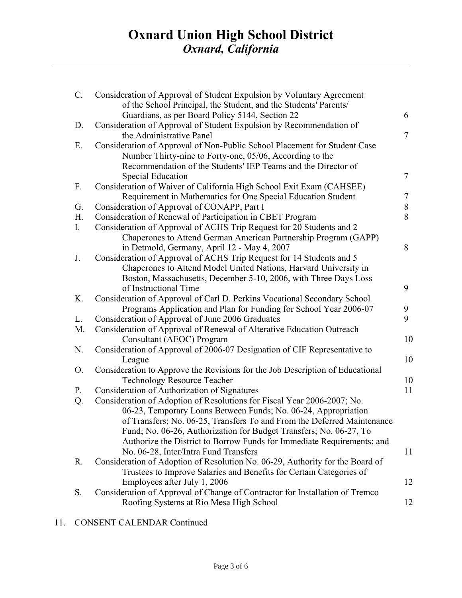| $C$ . | Consideration of Approval of Student Expulsion by Voluntary Agreement<br>of the School Principal, the Student, and the Students' Parents/     |                |
|-------|-----------------------------------------------------------------------------------------------------------------------------------------------|----------------|
| D.    | Guardians, as per Board Policy 5144, Section 22<br>Consideration of Approval of Student Expulsion by Recommendation of                        | 6              |
| Ε.    | the Administrative Panel<br>Consideration of Approval of Non-Public School Placement for Student Case                                         | $\overline{7}$ |
|       | Number Thirty-nine to Forty-one, 05/06, According to the                                                                                      |                |
|       | Recommendation of the Students' IEP Teams and the Director of                                                                                 |                |
|       | <b>Special Education</b>                                                                                                                      | $\tau$         |
| F.    | Consideration of Waiver of California High School Exit Exam (CAHSEE)                                                                          |                |
|       | Requirement in Mathematics for One Special Education Student                                                                                  | 7              |
| G.    | Consideration of Approval of CONAPP, Part I                                                                                                   | $8\,$          |
| H.    | Consideration of Renewal of Participation in CBET Program                                                                                     | 8              |
| I.    | Consideration of Approval of ACHS Trip Request for 20 Students and 2                                                                          |                |
|       | Chaperones to Attend German American Partnership Program (GAPP)                                                                               |                |
| J.    | in Detmold, Germany, April 12 - May 4, 2007                                                                                                   | 8              |
|       | Consideration of Approval of ACHS Trip Request for 14 Students and 5<br>Chaperones to Attend Model United Nations, Harvard University in      |                |
|       | Boston, Massachusetts, December 5-10, 2006, with Three Days Loss                                                                              |                |
|       | of Instructional Time                                                                                                                         | 9              |
| K.    | Consideration of Approval of Carl D. Perkins Vocational Secondary School                                                                      |                |
|       | Programs Application and Plan for Funding for School Year 2006-07                                                                             | 9              |
| L.    | Consideration of Approval of June 2006 Graduates                                                                                              | 9              |
| M.    | Consideration of Approval of Renewal of Alterative Education Outreach                                                                         |                |
|       | Consultant (AEOC) Program                                                                                                                     | 10             |
| N.    | Consideration of Approval of 2006-07 Designation of CIF Representative to                                                                     |                |
|       | League                                                                                                                                        | 10             |
| O.    | Consideration to Approve the Revisions for the Job Description of Educational                                                                 |                |
|       | <b>Technology Resource Teacher</b>                                                                                                            | 10             |
| P.    | Consideration of Authorization of Signatures                                                                                                  | 11             |
| Q.    | Consideration of Adoption of Resolutions for Fiscal Year 2006-2007; No.                                                                       |                |
|       | 06-23, Temporary Loans Between Funds; No. 06-24, Appropriation                                                                                |                |
|       | of Transfers; No. 06-25, Transfers To and From the Deferred Maintenance<br>Fund; No. 06-26, Authorization for Budget Transfers; No. 06-27, To |                |
|       | Authorize the District to Borrow Funds for Immediate Requirements; and                                                                        |                |
|       | No. 06-28, Inter/Intra Fund Transfers                                                                                                         | 11             |
| R.    | Consideration of Adoption of Resolution No. 06-29, Authority for the Board of                                                                 |                |
|       | Trustees to Improve Salaries and Benefits for Certain Categories of                                                                           |                |
|       | Employees after July 1, 2006                                                                                                                  | 12             |
| S.    | Consideration of Approval of Change of Contractor for Installation of Tremco                                                                  |                |
|       | Roofing Systems at Rio Mesa High School                                                                                                       | 12             |

### 11. CONSENT CALENDAR Continued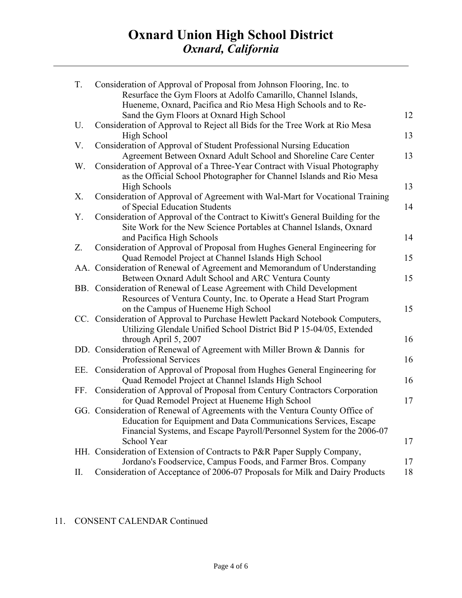## **Oxnard Union High School District**  *Oxnard, California*

| T.  | Consideration of Approval of Proposal from Johnson Flooring, Inc. to<br>Resurface the Gym Floors at Adolfo Camarillo, Channel Islands,      |    |
|-----|---------------------------------------------------------------------------------------------------------------------------------------------|----|
|     | Hueneme, Oxnard, Pacifica and Rio Mesa High Schools and to Re-                                                                              |    |
|     | Sand the Gym Floors at Oxnard High School                                                                                                   | 12 |
| U.  | Consideration of Approval to Reject all Bids for the Tree Work at Rio Mesa                                                                  |    |
|     | High School                                                                                                                                 | 13 |
| V.  | Consideration of Approval of Student Professional Nursing Education                                                                         |    |
|     | Agreement Between Oxnard Adult School and Shoreline Care Center                                                                             | 13 |
| W.  | Consideration of Approval of a Three-Year Contract with Visual Photography                                                                  |    |
|     | as the Official School Photographer for Channel Islands and Rio Mesa                                                                        |    |
|     | <b>High Schools</b>                                                                                                                         | 13 |
| X.  | Consideration of Approval of Agreement with Wal-Mart for Vocational Training<br>of Special Education Students                               | 14 |
| Y.  | Consideration of Approval of the Contract to Kiwitt's General Building for the                                                              |    |
|     | Site Work for the New Science Portables at Channel Islands, Oxnard                                                                          |    |
|     | and Pacifica High Schools                                                                                                                   | 14 |
| Z.  | Consideration of Approval of Proposal from Hughes General Engineering for                                                                   |    |
|     | Quad Remodel Project at Channel Islands High School                                                                                         | 15 |
|     | AA. Consideration of Renewal of Agreement and Memorandum of Understanding                                                                   | 15 |
|     | Between Oxnard Adult School and ARC Ventura County                                                                                          |    |
|     | BB. Consideration of Renewal of Lease Agreement with Child Development<br>Resources of Ventura County, Inc. to Operate a Head Start Program |    |
|     | on the Campus of Hueneme High School                                                                                                        | 15 |
|     | CC. Consideration of Approval to Purchase Hewlett Packard Notebook Computers,                                                               |    |
|     | Utilizing Glendale Unified School District Bid P 15-04/05, Extended                                                                         |    |
|     | through April 5, 2007                                                                                                                       | 16 |
|     | DD. Consideration of Renewal of Agreement with Miller Brown & Dannis for                                                                    |    |
|     | Professional Services                                                                                                                       | 16 |
|     | EE. Consideration of Approval of Proposal from Hughes General Engineering for                                                               |    |
|     | Quad Remodel Project at Channel Islands High School                                                                                         | 16 |
| FF. | Consideration of Approval of Proposal from Century Contractors Corporation                                                                  |    |
|     | for Quad Remodel Project at Hueneme High School                                                                                             | 17 |
|     | GG. Consideration of Renewal of Agreements with the Ventura County Office of                                                                |    |
|     | Education for Equipment and Data Communications Services, Escape                                                                            |    |
|     | Financial Systems, and Escape Payroll/Personnel System for the 2006-07                                                                      |    |
|     | School Year                                                                                                                                 | 17 |
|     | HH. Consideration of Extension of Contracts to P&R Paper Supply Company,                                                                    |    |
|     | Jordano's Foodservice, Campus Foods, and Farmer Bros. Company                                                                               | 17 |
| П.  | Consideration of Acceptance of 2006-07 Proposals for Milk and Dairy Products                                                                | 18 |
|     |                                                                                                                                             |    |

### 11. CONSENT CALENDAR Continued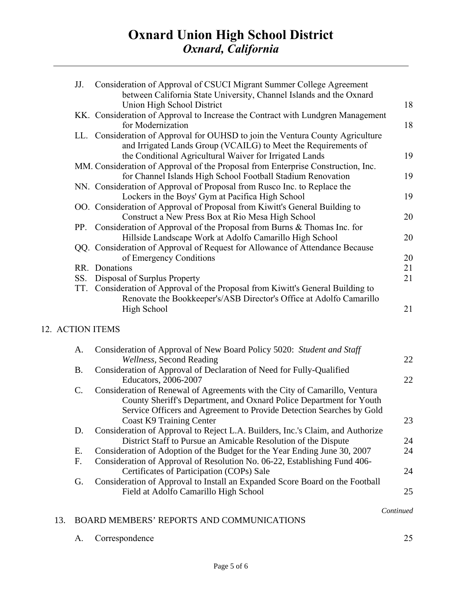| JJ.              | Consideration of Approval of CSUCI Migrant Summer College Agreement<br>between California State University, Channel Islands and the Oxnard                               |    |
|------------------|--------------------------------------------------------------------------------------------------------------------------------------------------------------------------|----|
|                  | Union High School District                                                                                                                                               | 18 |
|                  | KK. Consideration of Approval to Increase the Contract with Lundgren Management                                                                                          |    |
|                  | for Modernization                                                                                                                                                        | 18 |
|                  | LL. Consideration of Approval for OUHSD to join the Ventura County Agriculture                                                                                           |    |
|                  | and Irrigated Lands Group (VCAILG) to Meet the Requirements of                                                                                                           |    |
|                  | the Conditional Agricultural Waiver for Irrigated Lands                                                                                                                  | 19 |
|                  | MM. Consideration of Approval of the Proposal from Enterprise Construction, Inc.                                                                                         |    |
|                  | for Channel Islands High School Football Stadium Renovation                                                                                                              | 19 |
|                  | NN. Consideration of Approval of Proposal from Rusco Inc. to Replace the                                                                                                 |    |
|                  | Lockers in the Boys' Gym at Pacifica High School                                                                                                                         | 19 |
|                  | OO. Consideration of Approval of Proposal from Kiwitt's General Building to                                                                                              |    |
|                  | Construct a New Press Box at Rio Mesa High School                                                                                                                        | 20 |
|                  | PP. Consideration of Approval of the Proposal from Burns & Thomas Inc. for                                                                                               |    |
|                  | Hillside Landscape Work at Adolfo Camarillo High School                                                                                                                  | 20 |
|                  | QQ. Consideration of Approval of Request for Allowance of Attendance Because                                                                                             |    |
|                  | of Emergency Conditions                                                                                                                                                  | 20 |
|                  | RR. Donations                                                                                                                                                            | 21 |
| SS.              | Disposal of Surplus Property                                                                                                                                             | 21 |
| TT.              | Consideration of Approval of the Proposal from Kiwitt's General Building to<br>Renovate the Bookkeeper's/ASB Director's Office at Adolfo Camarillo<br><b>High School</b> | 21 |
| 12. ACTION ITEMS |                                                                                                                                                                          |    |
| A.               | Consideration of Approval of New Board Policy 5020: Student and Staff                                                                                                    |    |
|                  | Wellness, Second Reading                                                                                                                                                 | 22 |
| <b>B.</b>        | Consideration of Approval of Declaration of Need for Fully-Qualified                                                                                                     |    |
|                  | Educators, 2006-2007                                                                                                                                                     | 22 |
| C.               | Consideration of Renewal of Agreements with the City of Camarillo, Ventura                                                                                               |    |
|                  | County Sheriff's Department, and Oxnard Police Department for Youth                                                                                                      |    |
|                  | Service Officers and Agreement to Provide Detection Searches by Gold                                                                                                     |    |
|                  | <b>Coast K9 Training Center</b>                                                                                                                                          | 23 |
| D.               | Consideration of Approval to Reject L.A. Builders, Inc.'s Claim, and Authorize                                                                                           |    |
|                  | District Staff to Pursue an Amicable Resolution of the Dispute                                                                                                           | 24 |
| Ε.               | Consideration of Adoption of the Budget for the Year Ending June 30, 2007                                                                                                | 24 |
| F.               | Consideration of Approval of Resolution No. 06-22, Establishing Fund 406-                                                                                                |    |
|                  | Certificates of Participation (COPs) Sale                                                                                                                                | 24 |
| G.               | Consideration of Approval to Install an Expanded Score Board on the Football                                                                                             |    |
|                  | Field at Adolfo Camarillo High School                                                                                                                                    | 25 |

 *Continued* 

### 13. BOARD MEMBERS' REPORTS AND COMMUNICATIONS

A. Correspondence 25